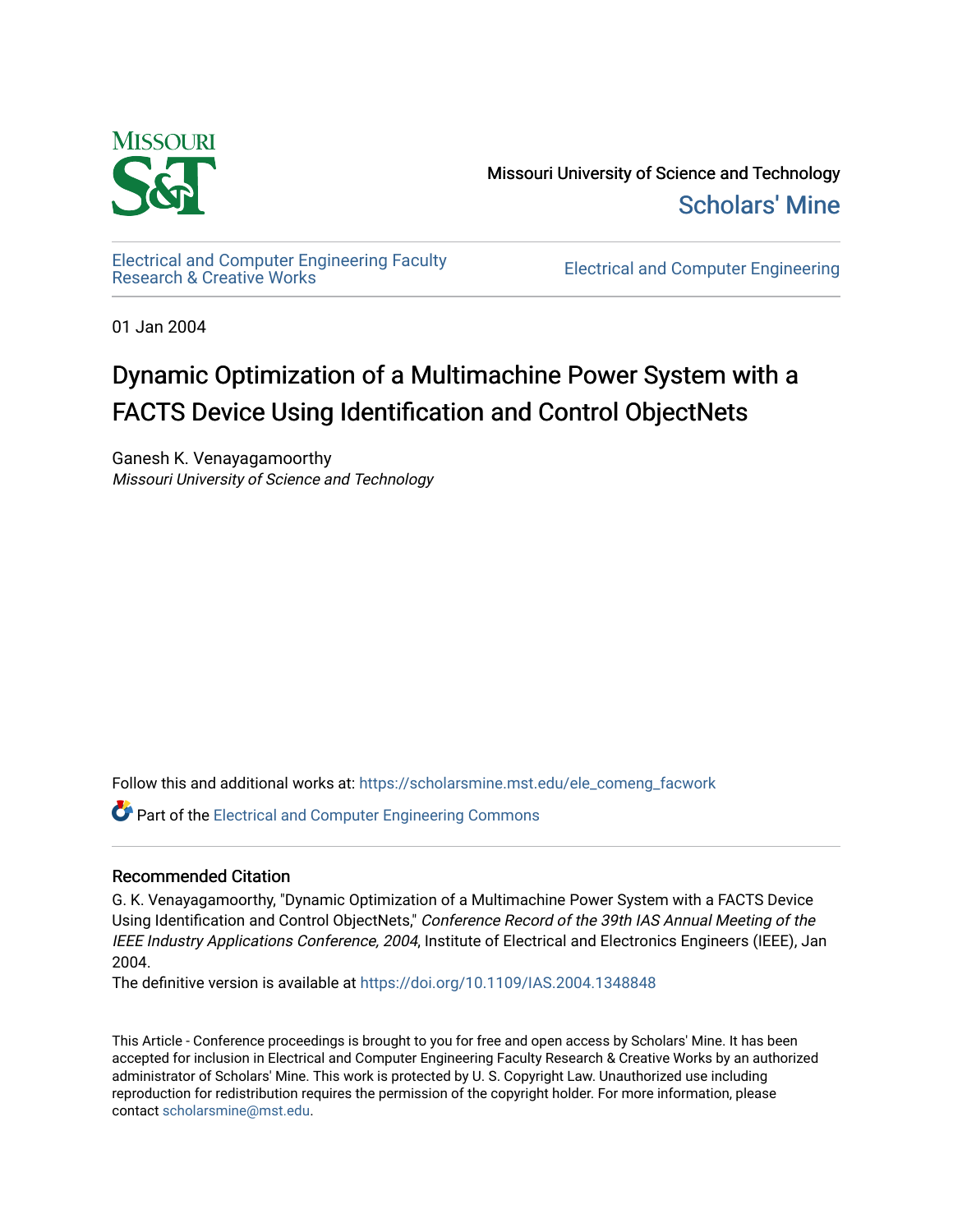

Missouri University of Science and Technology [Scholars' Mine](https://scholarsmine.mst.edu/) 

[Electrical and Computer Engineering Faculty](https://scholarsmine.mst.edu/ele_comeng_facwork)<br>Research & Creative Works

**Electrical and Computer Engineering** 

01 Jan 2004

# Dynamic Optimization of a Multimachine Power System with a FACTS Device Using Identification and Control ObjectNets

Ganesh K. Venayagamoorthy Missouri University of Science and Technology

Follow this and additional works at: [https://scholarsmine.mst.edu/ele\\_comeng\\_facwork](https://scholarsmine.mst.edu/ele_comeng_facwork?utm_source=scholarsmine.mst.edu%2Fele_comeng_facwork%2F1563&utm_medium=PDF&utm_campaign=PDFCoverPages)

**P** Part of the Electrical and Computer Engineering Commons

# Recommended Citation

G. K. Venayagamoorthy, "Dynamic Optimization of a Multimachine Power System with a FACTS Device Using Identification and Control ObjectNets," Conference Record of the 39th IAS Annual Meeting of the IEEE Industry Applications Conference, 2004, Institute of Electrical and Electronics Engineers (IEEE), Jan 2004.

The definitive version is available at <https://doi.org/10.1109/IAS.2004.1348848>

This Article - Conference proceedings is brought to you for free and open access by Scholars' Mine. It has been accepted for inclusion in Electrical and Computer Engineering Faculty Research & Creative Works by an authorized administrator of Scholars' Mine. This work is protected by U. S. Copyright Law. Unauthorized use including reproduction for redistribution requires the permission of the copyright holder. For more information, please contact [scholarsmine@mst.edu](mailto:scholarsmine@mst.edu).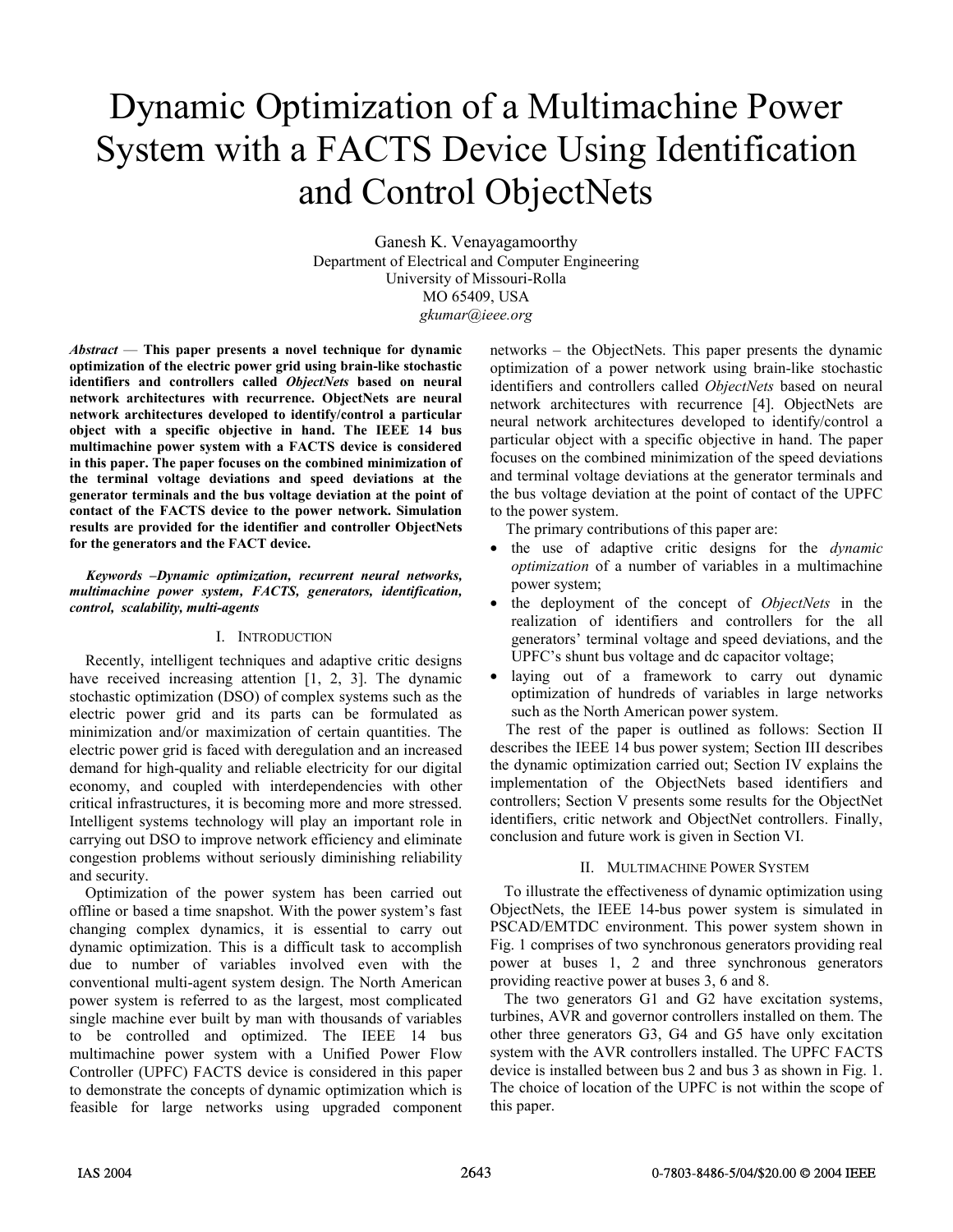# Dynamic Optimization of a Multimachine Power System with a FACTS Device Using Identification and Control ObjectNets

Ganesh K. Venayagamoorthy Department of Electrical and Computer Engineering University of Missouri-Rolla MO 65409, USA *gkumar@ieee.org* 

*Abstract* — **This paper presents a novel technique for dynamic optimization of the electric power grid using brain-like stochastic identifiers and controllers called** *ObjectNets* **based on neural network architectures with recurrence. ObjectNets are neural network architectures developed to identify/control a particular object with a specific objective in hand. The IEEE 14 bus multimachine power system with a FACTS device is considered in this paper. The paper focuses on the combined minimization of the terminal voltage deviations and speed deviations at the generator terminals and the bus voltage deviation at the point of contact of the FACTS device to the power network. Simulation results are provided for the identifier and controller ObjectNets for the generators and the FACT device.** 

# *Keywords –Dynamic optimization, recurrent neural networks, multimachine power system, FACTS, generators, identification, control, scalability, multi-agents*

# I. INTRODUCTION

Recently, intelligent techniques and adaptive critic designs have received increasing attention [1, 2, 3]. The dynamic stochastic optimization (DSO) of complex systems such as the electric power grid and its parts can be formulated as minimization and/or maximization of certain quantities. The electric power grid is faced with deregulation and an increased demand for high-quality and reliable electricity for our digital economy, and coupled with interdependencies with other critical infrastructures, it is becoming more and more stressed. Intelligent systems technology will play an important role in carrying out DSO to improve network efficiency and eliminate congestion problems without seriously diminishing reliability and security.

Optimization of the power system has been carried out offline or based a time snapshot. With the power system's fast changing complex dynamics, it is essential to carry out dynamic optimization. This is a difficult task to accomplish due to number of variables involved even with the conventional multi-agent system design. The North American power system is referred to as the largest, most complicated single machine ever built by man with thousands of variables to be controlled and optimized. The IEEE 14 bus multimachine power system with a Unified Power Flow Controller (UPFC) FACTS device is considered in this paper to demonstrate the concepts of dynamic optimization which is feasible for large networks using upgraded component

networks – the ObjectNets. This paper presents the dynamic optimization of a power network using brain-like stochastic identifiers and controllers called *ObjectNets* based on neural network architectures with recurrence [4]. ObjectNets are neural network architectures developed to identify/control a particular object with a specific objective in hand. The paper focuses on the combined minimization of the speed deviations and terminal voltage deviations at the generator terminals and the bus voltage deviation at the point of contact of the UPFC to the power system.

The primary contributions of this paper are:

- the use of adaptive critic designs for the *dynamic optimization* of a number of variables in a multimachine power system;
- the deployment of the concept of *ObjectNets* in the realization of identifiers and controllers for the all generators' terminal voltage and speed deviations, and the UPFC's shunt bus voltage and dc capacitor voltage;
- laying out of a framework to carry out dynamic optimization of hundreds of variables in large networks such as the North American power system.

The rest of the paper is outlined as follows: Section II describes the IEEE 14 bus power system; Section III describes the dynamic optimization carried out; Section IV explains the implementation of the ObjectNets based identifiers and controllers; Section V presents some results for the ObjectNet identifiers, critic network and ObjectNet controllers. Finally, conclusion and future work is given in Section VI.

# II. MULTIMACHINE POWER SYSTEM

To illustrate the effectiveness of dynamic optimization using ObjectNets, the IEEE 14-bus power system is simulated in PSCAD/EMTDC environment. This power system shown in Fig. 1 comprises of two synchronous generators providing real power at buses 1, 2 and three synchronous generators providing reactive power at buses 3, 6 and 8.

The two generators G1 and G2 have excitation systems, turbines, AVR and governor controllers installed on them. The other three generators G3, G4 and G5 have only excitation system with the AVR controllers installed. The UPFC FACTS device is installed between bus 2 and bus 3 as shown in Fig. 1. The choice of location of the UPFC is not within the scope of this paper.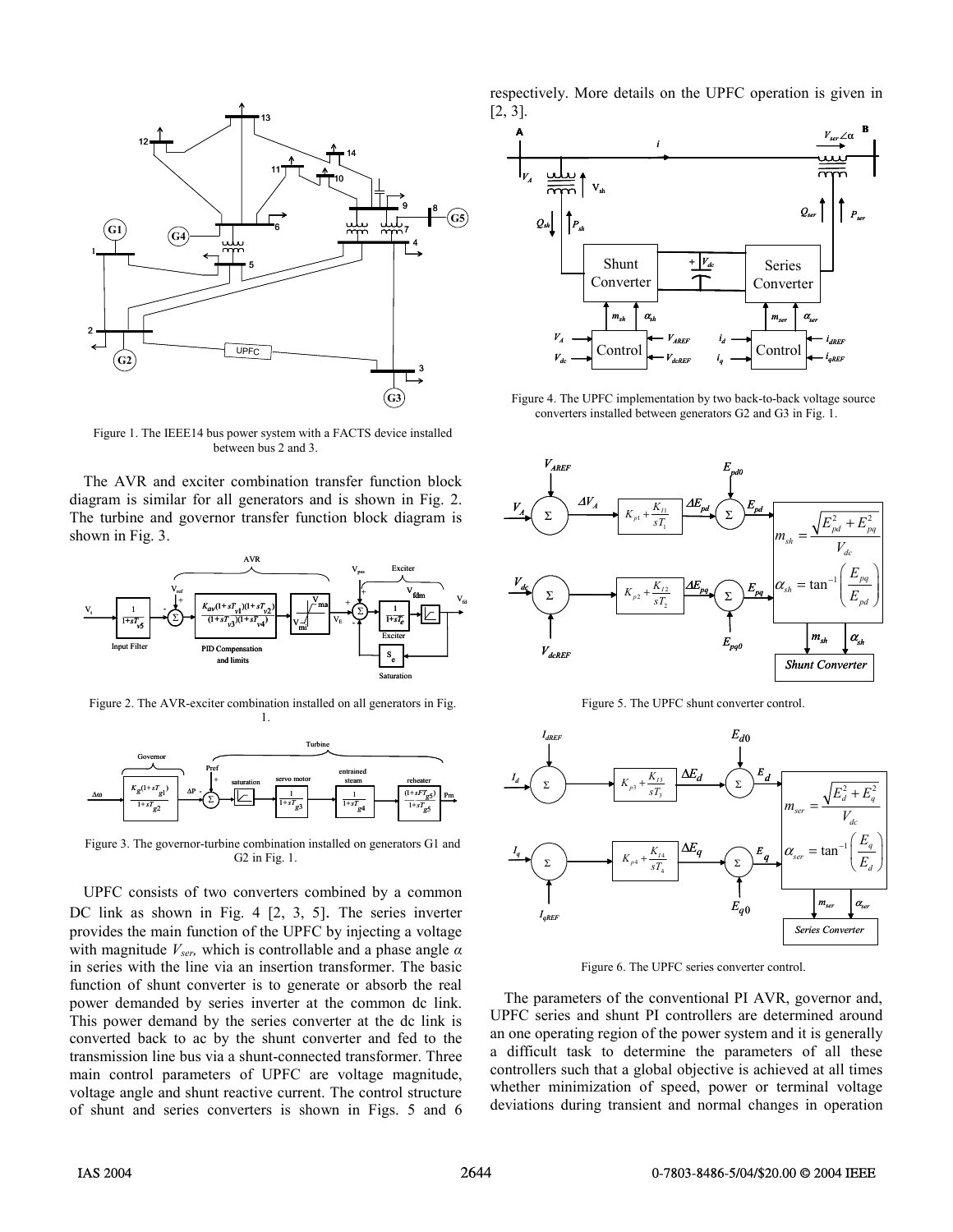

Figure 1. The IEEE14 bus power system with a FACTS device installed between bus 2 and 3.

The AVR and exciter combination transfer function block diagram is similar for all generators and is shown in Fig. 2. The turbine and governor transfer function block diagram is shown in Fig. 3.



Figure 2. The AVR-exciter combination installed on all generators in Fig. 1.



Figure 3. The governor-turbine combination installed on generators G1 and G2 in Fig. 1.

UPFC consists of two converters combined by a common DC link as shown in Fig. 4 [2, 3, 5]. The series inverter provides the main function of the UPFC by injecting a voltage with magnitude *Vser,* which is controllable and a phase angle *α* in series with the line via an insertion transformer. The basic function of shunt converter is to generate or absorb the real power demanded by series inverter at the common dc link. This power demand by the series converter at the dc link is converted back to ac by the shunt converter and fed to the transmission line bus via a shunt-connected transformer. Three main control parameters of UPFC are voltage magnitude, voltage angle and shunt reactive current. The control structure of shunt and series converters is shown in Figs. 5 and 6 respectively. More details on the UPFC operation is given in [2, 3].



Figure 4. The UPFC implementation by two back-to-back voltage source converters installed between generators G2 and G3 in Fig. 1.



Figure 5. The UPFC shunt converter control.



Figure 6. The UPFC series converter control.

The parameters of the conventional PI AVR, governor and, UPFC series and shunt PI controllers are determined around an one operating region of the power system and it is generally a difficult task to determine the parameters of all these controllers such that a global objective is achieved at all times whether minimization of speed, power or terminal voltage deviations during transient and normal changes in operation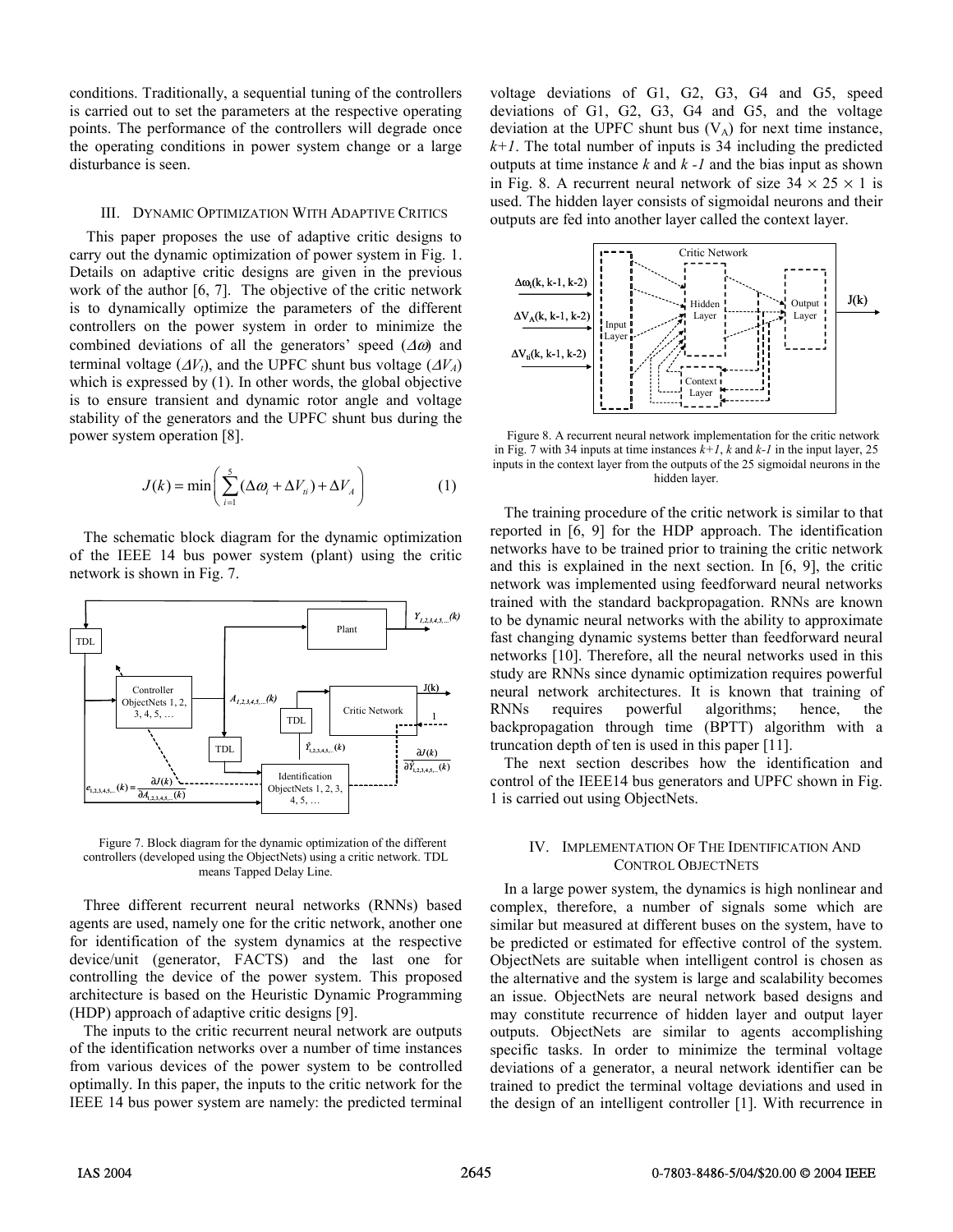conditions. Traditionally, a sequential tuning of the controllers is carried out to set the parameters at the respective operating points. The performance of the controllers will degrade once the operating conditions in power system change or a large disturbance is seen.

#### III. DYNAMIC OPTIMIZATION WITH ADAPTIVE CRITICS

This paper proposes the use of adaptive critic designs to carry out the dynamic optimization of power system in Fig. 1. Details on adaptive critic designs are given in the previous work of the author [6, 7]. The objective of the critic network is to dynamically optimize the parameters of the different controllers on the power system in order to minimize the combined deviations of all the generators' speed  $(\Delta \omega)$  and terminal voltage ( $\Delta V_t$ ), and the UPFC shunt bus voltage ( $\Delta V_A$ ) which is expressed by (1). In other words, the global objective is to ensure transient and dynamic rotor angle and voltage stability of the generators and the UPFC shunt bus during the power system operation [8].

$$
J(k) = \min\left(\sum_{i=1}^{5} (\Delta \omega_i + \Delta V_{ii}) + \Delta V_A\right)
$$
 (1)

 The schematic block diagram for the dynamic optimization of the IEEE 14 bus power system (plant) using the critic network is shown in Fig. 7.



Figure 7. Block diagram for the dynamic optimization of the different controllers (developed using the ObjectNets) using a critic network. TDL means Tapped Delay Line.

Three different recurrent neural networks (RNNs) based agents are used, namely one for the critic network, another one for identification of the system dynamics at the respective device/unit (generator, FACTS) and the last one for controlling the device of the power system. This proposed architecture is based on the Heuristic Dynamic Programming (HDP) approach of adaptive critic designs [9].

The inputs to the critic recurrent neural network are outputs of the identification networks over a number of time instances from various devices of the power system to be controlled optimally. In this paper, the inputs to the critic network for the IEEE 14 bus power system are namely: the predicted terminal voltage deviations of G1, G2, G3, G4 and G5, speed deviations of G1, G2, G3, G4 and G5, and the voltage deviation at the UPFC shunt bus  $(V_A)$  for next time instance,  $k+1$ . The total number of inputs is 34 including the predicted outputs at time instance *k* and *k -1* and the bias input as shown in Fig. 8. A recurrent neural network of size  $34 \times 25 \times 1$  is used. The hidden layer consists of sigmoidal neurons and their outputs are fed into another layer called the context layer.



Figure 8. A recurrent neural network implementation for the critic network in Fig. 7 with 34 inputs at time instances  $k+1$ ,  $k$  and  $k-1$  in the input layer, 25 inputs in the context layer from the outputs of the 25 sigmoidal neurons in the hidden layer.

The training procedure of the critic network is similar to that reported in [6, 9] for the HDP approach. The identification networks have to be trained prior to training the critic network and this is explained in the next section. In [6, 9], the critic network was implemented using feedforward neural networks trained with the standard backpropagation. RNNs are known to be dynamic neural networks with the ability to approximate fast changing dynamic systems better than feedforward neural networks [10]. Therefore, all the neural networks used in this study are RNNs since dynamic optimization requires powerful neural network architectures. It is known that training of RNNs requires powerful algorithms; hence, the backpropagation through time (BPTT) algorithm with a truncation depth of ten is used in this paper [11].

The next section describes how the identification and control of the IEEE14 bus generators and UPFC shown in Fig. 1 is carried out using ObjectNets.

# IV. IMPLEMENTATION OF THE IDENTIFICATION AND CONTROL OBJECTNETS

In a large power system, the dynamics is high nonlinear and complex, therefore, a number of signals some which are similar but measured at different buses on the system, have to be predicted or estimated for effective control of the system. ObjectNets are suitable when intelligent control is chosen as the alternative and the system is large and scalability becomes an issue. ObjectNets are neural network based designs and may constitute recurrence of hidden layer and output layer outputs. ObjectNets are similar to agents accomplishing specific tasks. In order to minimize the terminal voltage deviations of a generator, a neural network identifier can be trained to predict the terminal voltage deviations and used in the design of an intelligent controller [1]. With recurrence in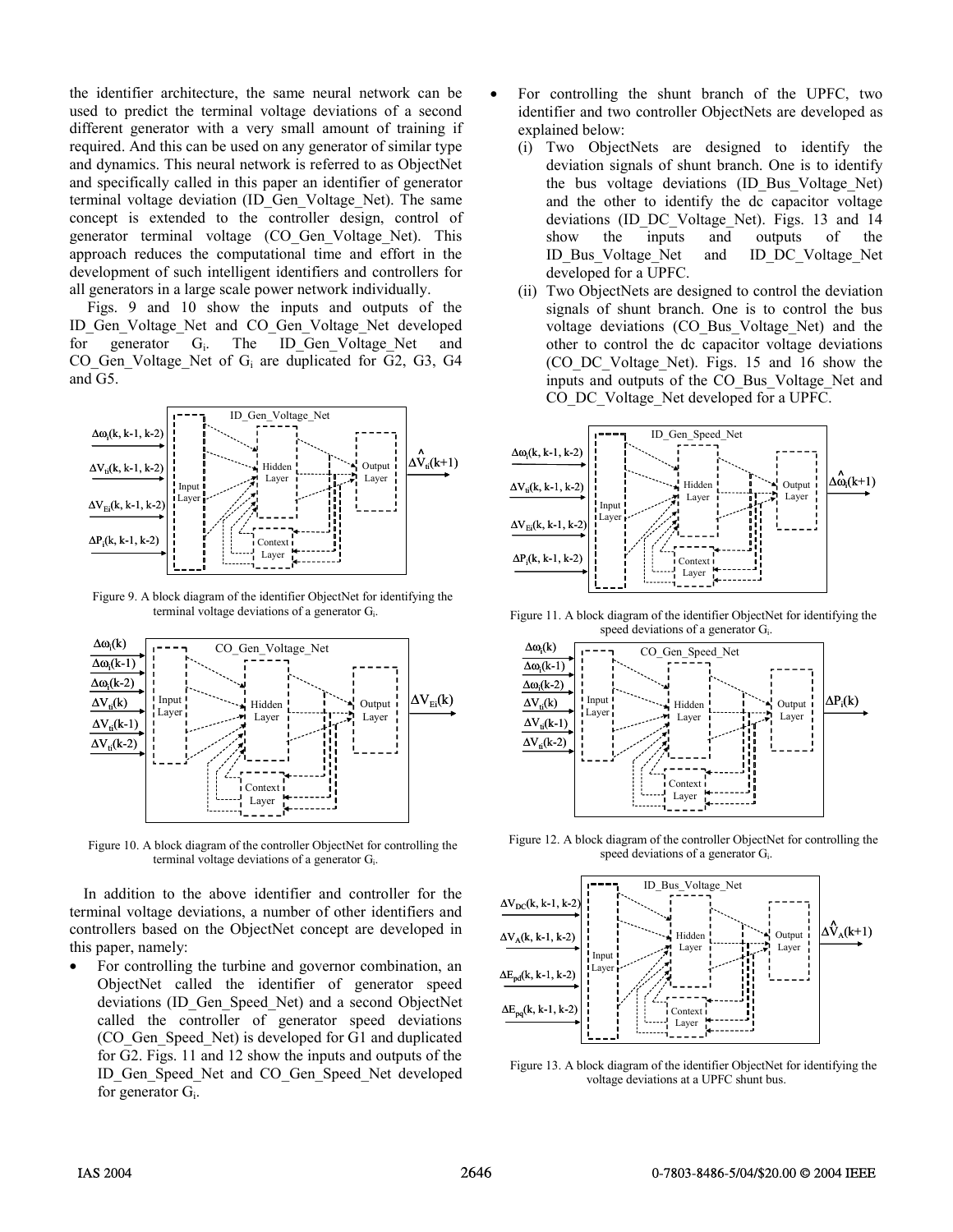the identifier architecture, the same neural network can be used to predict the terminal voltage deviations of a second different generator with a very small amount of training if required. And this can be used on any generator of similar type and dynamics. This neural network is referred to as ObjectNet and specifically called in this paper an identifier of generator terminal voltage deviation (ID\_Gen\_Voltage\_Net). The same concept is extended to the controller design, control of generator terminal voltage (CO\_Gen\_Voltage\_Net). This approach reduces the computational time and effort in the development of such intelligent identifiers and controllers for all generators in a large scale power network individually.

 Figs. 9 and 10 show the inputs and outputs of the ID\_Gen\_Voltage\_Net and CO\_Gen\_Voltage\_Net developed for generator  $G_i$ . The ID Gen Voltage Net and CO Gen Voltage Net of  $G_i$  are duplicated for G2, G3, G4 and G5.



Figure 9. A block diagram of the identifier ObjectNet for identifying the terminal voltage deviations of a generator Gi.



Figure 10. A block diagram of the controller ObjectNet for controlling the terminal voltage deviations of a generator Gi.

In addition to the above identifier and controller for the terminal voltage deviations, a number of other identifiers and controllers based on the ObjectNet concept are developed in this paper, namely:

• For controlling the turbine and governor combination, an ObjectNet called the identifier of generator speed deviations (ID\_Gen\_Speed\_Net) and a second ObjectNet called the controller of generator speed deviations (CO\_Gen\_Speed\_Net) is developed for G1 and duplicated for G2. Figs. 11 and 12 show the inputs and outputs of the ID Gen Speed Net and CO Gen Speed Net developed for generator  $G_i$ .

- For controlling the shunt branch of the UPFC, two identifier and two controller ObjectNets are developed as explained below:
	- (i) Two ObjectNets are designed to identify the deviation signals of shunt branch. One is to identify the bus voltage deviations (ID\_Bus\_Voltage\_Net) and the other to identify the dc capacitor voltage deviations (ID\_DC\_Voltage\_Net). Figs. 13 and 14 show the inputs and outputs of the ID Bus Voltage Net and ID DC Voltage Net developed for a UPFC.
	- (ii) Two ObjectNets are designed to control the deviation signals of shunt branch. One is to control the bus voltage deviations (CO\_Bus\_Voltage\_Net) and the other to control the dc capacitor voltage deviations (CO\_DC\_Voltage\_Net). Figs. 15 and 16 show the inputs and outputs of the CO\_Bus\_Voltage\_Net and CO DC Voltage Net developed for a UPFC.



Figure 11. A block diagram of the identifier ObjectNet for identifying the speed deviations of a generator Gi.



Figure 12. A block diagram of the controller ObjectNet for controlling the speed deviations of a generator G<sub>i</sub>.



Figure 13. A block diagram of the identifier ObjectNet for identifying the voltage deviations at a UPFC shunt bus.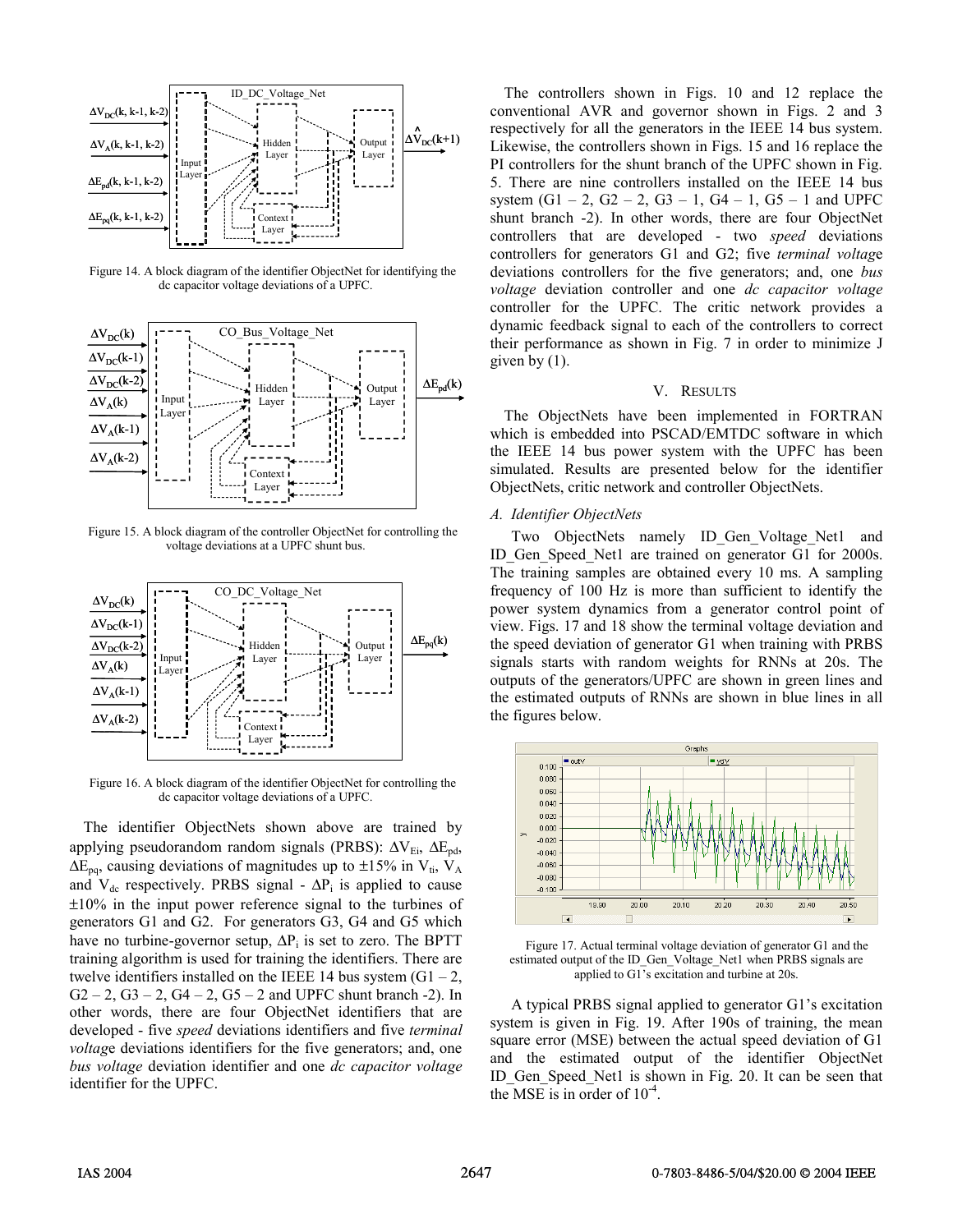

Figure 14. A block diagram of the identifier ObjectNet for identifying the dc capacitor voltage deviations of a UPFC.



Figure 15. A block diagram of the controller ObjectNet for controlling the voltage deviations at a UPFC shunt bus.



Figure 16. A block diagram of the identifier ObjectNet for controlling the dc capacitor voltage deviations of a UPFC.

The identifier ObjectNets shown above are trained by applying pseudorandom random signals (PRBS):  $\Delta V_{Ei}$ ,  $\Delta E_{pd}$ ,  $\Delta E_{pq}$ , causing deviations of magnitudes up to ±15% in V<sub>ti</sub>, V<sub>A</sub> and V<sub>dc</sub> respectively. PRBS signal -  $\Delta P_i$  is applied to cause ±10% in the input power reference signal to the turbines of generators G1 and G2. For generators G3, G4 and G5 which have no turbine-governor setup,  $\Delta P_i$  is set to zero. The BPTT training algorithm is used for training the identifiers. There are twelve identifiers installed on the IEEE 14 bus system  $(G1 - 2)$ ,  $G2 - 2$ ,  $G3 - 2$ ,  $G4 - 2$ ,  $G5 - 2$  and UPFC shunt branch -2). In other words, there are four ObjectNet identifiers that are developed - five *speed* deviations identifiers and five *terminal voltag*e deviations identifiers for the five generators; and, one *bus voltage* deviation identifier and one *dc capacitor voltage* identifier for the UPFC.

The controllers shown in Figs. 10 and 12 replace the conventional AVR and governor shown in Figs. 2 and 3 respectively for all the generators in the IEEE 14 bus system. Likewise, the controllers shown in Figs. 15 and 16 replace the PI controllers for the shunt branch of the UPFC shown in Fig. 5. There are nine controllers installed on the IEEE 14 bus system  $(G1 - 2, G2 - 2, G3 - 1, G4 - 1, G5 - 1$  and UPFC shunt branch -2). In other words, there are four ObjectNet controllers that are developed - two *speed* deviations controllers for generators G1 and G2; five *terminal voltag*e deviations controllers for the five generators; and, one *bus voltage* deviation controller and one *dc capacitor voltage* controller for the UPFC. The critic network provides a dynamic feedback signal to each of the controllers to correct their performance as shown in Fig. 7 in order to minimize J given by  $(1)$ .

#### V. RESULTS

The ObjectNets have been implemented in FORTRAN which is embedded into PSCAD/EMTDC software in which the IEEE 14 bus power system with the UPFC has been simulated. Results are presented below for the identifier ObjectNets, critic network and controller ObjectNets.

## *A. Identifier ObjectNets*

Two ObjectNets namely ID Gen Voltage Net1 and ID Gen Speed Net1 are trained on generator G1 for 2000s. The training samples are obtained every 10 ms. A sampling frequency of 100 Hz is more than sufficient to identify the power system dynamics from a generator control point of view. Figs. 17 and 18 show the terminal voltage deviation and the speed deviation of generator G1 when training with PRBS signals starts with random weights for RNNs at 20s. The outputs of the generators/UPFC are shown in green lines and the estimated outputs of RNNs are shown in blue lines in all the figures below.



Figure 17. Actual terminal voltage deviation of generator G1 and the estimated output of the ID\_Gen\_Voltage\_Net1 when PRBS signals are applied to G1's excitation and turbine at 20s.

A typical PRBS signal applied to generator G1's excitation system is given in Fig. 19. After 190s of training, the mean square error (MSE) between the actual speed deviation of G1 and the estimated output of the identifier ObjectNet ID\_Gen\_Speed\_Net1 is shown in Fig. 20. It can be seen that the MSE is in order of  $10^{-4}$ .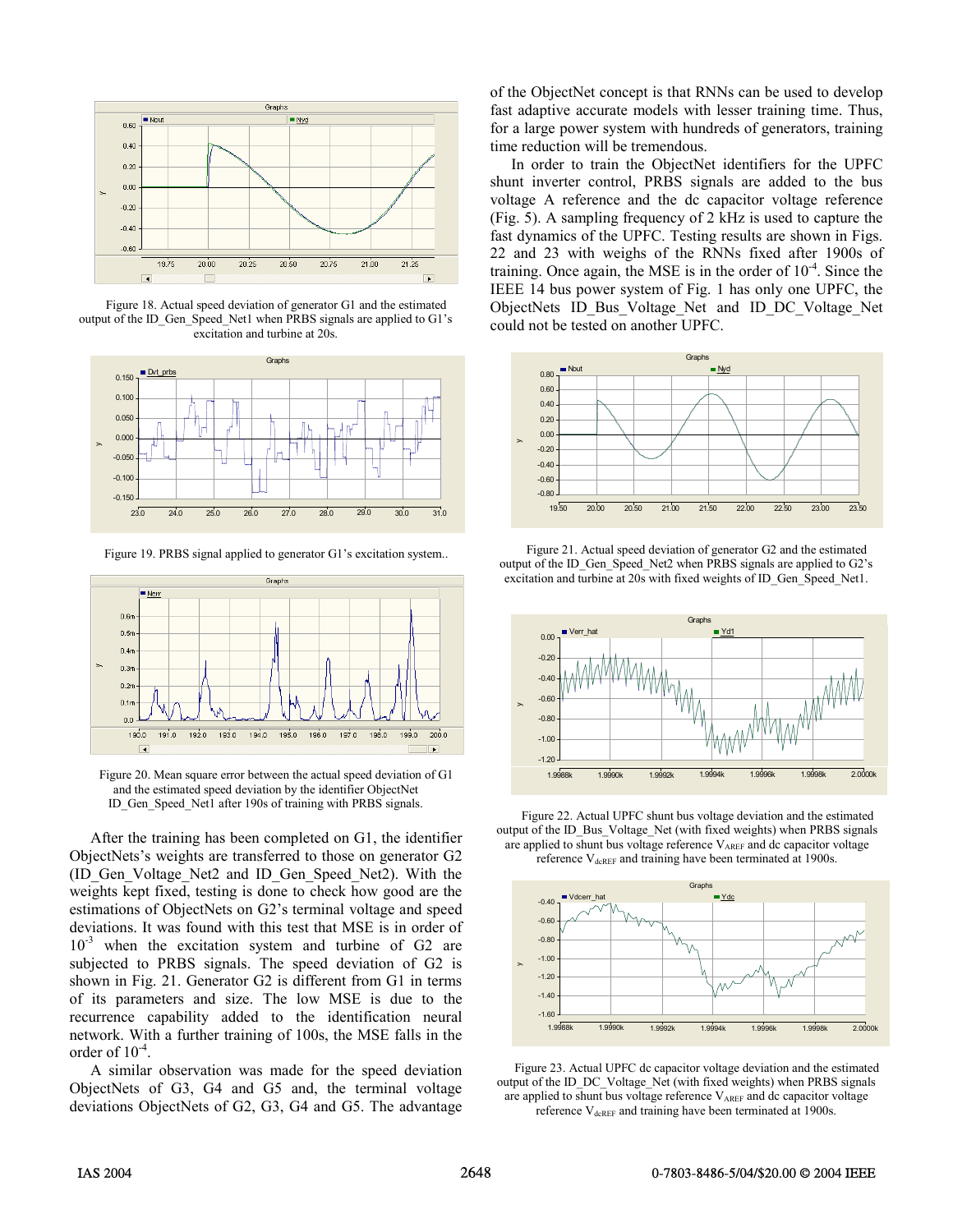

Figure 18. Actual speed deviation of generator G1 and the estimated output of the ID\_Gen\_Speed\_Net1 when PRBS signals are applied to G1's excitation and turbine at 20s.



Figure 19. PRBS signal applied to generator G1's excitation system..



Figure 20. Mean square error between the actual speed deviation of G1 and the estimated speed deviation by the identifier ObjectNet ID\_Gen\_Speed\_Net1 after 190s of training with PRBS signals.

After the training has been completed on G1, the identifier ObjectNets's weights are transferred to those on generator G2 (ID\_Gen\_Voltage\_Net2 and ID\_Gen\_Speed\_Net2). With the weights kept fixed, testing is done to check how good are the estimations of ObjectNets on G2's terminal voltage and speed deviations. It was found with this test that MSE is in order of  $10^{-3}$  when the excitation system and turbine of G2 are subjected to PRBS signals. The speed deviation of G2 is shown in Fig. 21. Generator G2 is different from G1 in terms of its parameters and size. The low MSE is due to the recurrence capability added to the identification neural network. With a further training of 100s, the MSE falls in the order of  $10^{-4}$ .

A similar observation was made for the speed deviation ObjectNets of G3, G4 and G5 and, the terminal voltage deviations ObjectNets of G2, G3, G4 and G5. The advantage of the ObjectNet concept is that RNNs can be used to develop fast adaptive accurate models with lesser training time. Thus, for a large power system with hundreds of generators, training time reduction will be tremendous.

In order to train the ObjectNet identifiers for the UPFC shunt inverter control, PRBS signals are added to the bus voltage A reference and the dc capacitor voltage reference (Fig. 5). A sampling frequency of 2 kHz is used to capture the fast dynamics of the UPFC. Testing results are shown in Figs. 22 and 23 with weighs of the RNNs fixed after 1900s of training. Once again, the MSE is in the order of  $10^{-4}$ . Since the IEEE 14 bus power system of Fig. 1 has only one UPFC, the ObjectNets ID\_Bus\_Voltage\_Net and ID\_DC\_Voltage\_Net could not be tested on another UPFC.



Figure 21. Actual speed deviation of generator G2 and the estimated output of the ID\_Gen\_Speed\_Net2 when PRBS signals are applied to G2's excitation and turbine at 20s with fixed weights of ID\_Gen\_Speed\_Net1.



Figure 22. Actual UPFC shunt bus voltage deviation and the estimated output of the ID\_Bus\_Voltage\_Net (with fixed weights) when PRBS signals are applied to shunt bus voltage reference  $V_{AREF}$  and dc capacitor voltage reference V<sub>dcREF</sub> and training have been terminated at 1900s.



Figure 23. Actual UPFC dc capacitor voltage deviation and the estimated output of the ID\_DC\_Voltage\_Net (with fixed weights) when PRBS signals are applied to shunt bus voltage reference VAREF and dc capacitor voltage reference  $V_{dcREF}$  and training have been terminated at 1900s.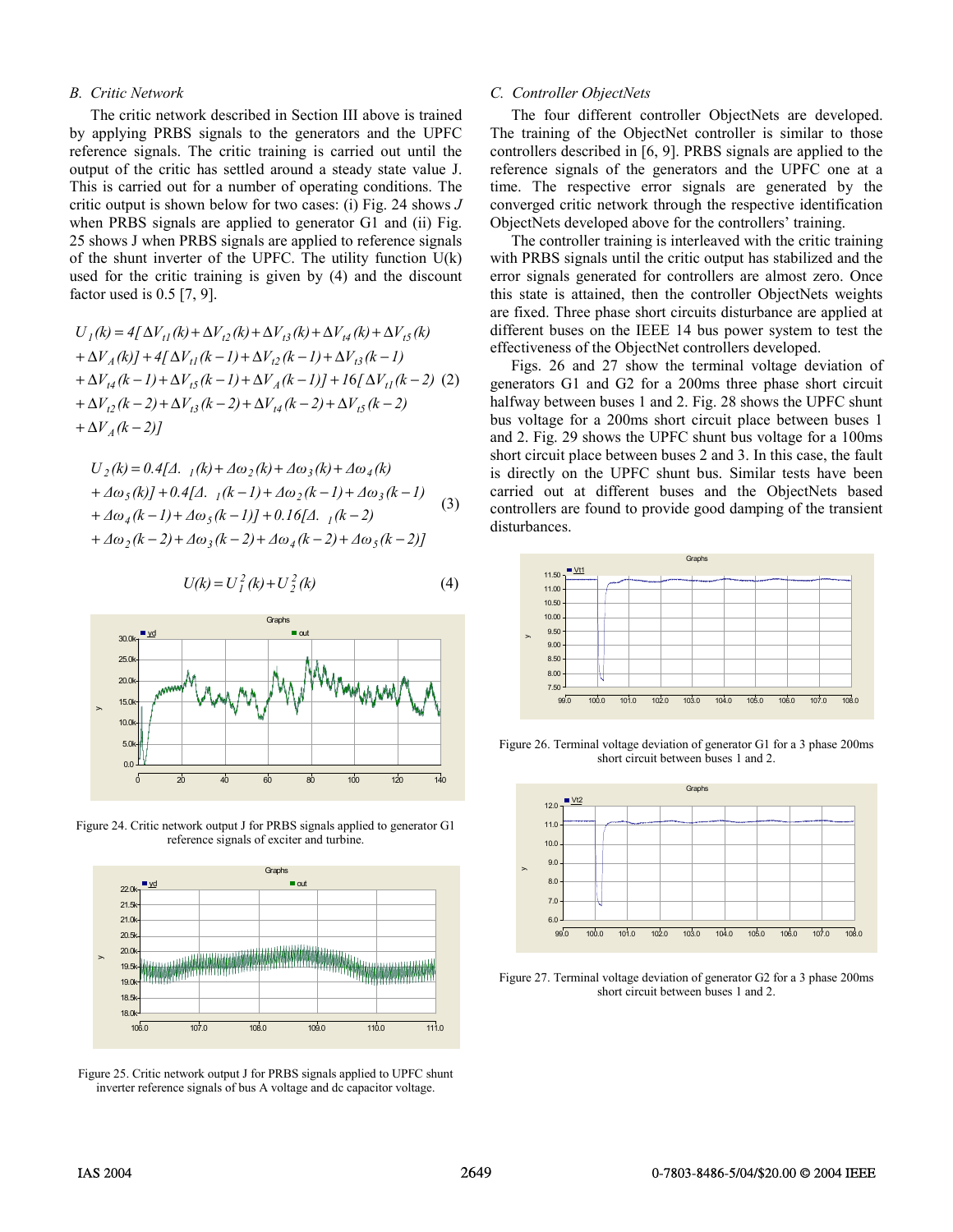# *B. Critic Network*

The critic network described in Section III above is trained by applying PRBS signals to the generators and the UPFC reference signals. The critic training is carried out until the output of the critic has settled around a steady state value J. This is carried out for a number of operating conditions. The critic output is shown below for two cases: (i) Fig. 24 shows *J* when PRBS signals are applied to generator G1 and (ii) Fig. 25 shows J when PRBS signals are applied to reference signals of the shunt inverter of the UPFC. The utility function  $U(k)$ used for the critic training is given by (4) and the discount factor used is 0.5 [7, 9].

$$
U_{1}(k) = 4[\Delta V_{t1}(k) + \Delta V_{t2}(k) + \Delta V_{t3}(k) + \Delta V_{t4}(k) + \Delta V_{t5}(k)
$$
  
+  $\Delta V_{A}(k)J + 4[\Delta V_{t1}(k - I) + \Delta V_{t2}(k - I) + \Delta V_{t3}(k - I)$   
+  $\Delta V_{t4}(k - I) + \Delta V_{t5}(k - I) + \Delta V_{A}(k - I)J + 16[\Delta V_{t1}(k - 2) (2)$   
+  $\Delta V_{t2}(k - 2) + \Delta V_{t3}(k - 2) + \Delta V_{t4}(k - 2) + \Delta V_{t5}(k - 2)$   
+  $\Delta V_{A}(k - 2)J$ 

$$
U_2(k) = 0.4[A_{11}(k) + \Delta\omega_2(k) + \Delta\omega_3(k) + \Delta\omega_4(k)
$$
  
+  $\Delta\omega_5(k) + 0.4[A_{11}(k-1) + \Delta\omega_2(k-1) + \Delta\omega_3(k-1)$   
+  $\Delta\omega_4(k-1) + \Delta\omega_5(k-1) + 0.16[A_{11}(k-2)$   
+  $\Delta\omega_2(k-2) + \Delta\omega_3(k-2) + \Delta\omega_4(k-2) + \Delta\omega_5(k-2)]$  (3)

$$
U(k) = U_1^2(k) + U_2^2(k)
$$
 (4)



Figure 24. Critic network output J for PRBS signals applied to generator G1 reference signals of exciter and turbine.



Figure 25. Critic network output J for PRBS signals applied to UPFC shunt inverter reference signals of bus A voltage and dc capacitor voltage.

## *C. Controller ObjectNets*

The four different controller ObjectNets are developed. The training of the ObjectNet controller is similar to those controllers described in [6, 9]. PRBS signals are applied to the reference signals of the generators and the UPFC one at a time. The respective error signals are generated by the converged critic network through the respective identification ObjectNets developed above for the controllers' training.

The controller training is interleaved with the critic training with PRBS signals until the critic output has stabilized and the error signals generated for controllers are almost zero. Once this state is attained, then the controller ObjectNets weights are fixed. Three phase short circuits disturbance are applied at different buses on the IEEE 14 bus power system to test the effectiveness of the ObjectNet controllers developed.

Figs. 26 and 27 show the terminal voltage deviation of generators G1 and G2 for a 200ms three phase short circuit halfway between buses 1 and 2. Fig. 28 shows the UPFC shunt bus voltage for a 200ms short circuit place between buses 1 and 2. Fig. 29 shows the UPFC shunt bus voltage for a 100ms short circuit place between buses 2 and 3. In this case, the fault is directly on the UPFC shunt bus. Similar tests have been carried out at different buses and the ObjectNets based controllers are found to provide good damping of the transient disturbances.



Figure 26. Terminal voltage deviation of generator G1 for a 3 phase 200ms short circuit between buses 1 and 2.



Figure 27. Terminal voltage deviation of generator G2 for a 3 phase 200ms short circuit between buses 1 and 2.